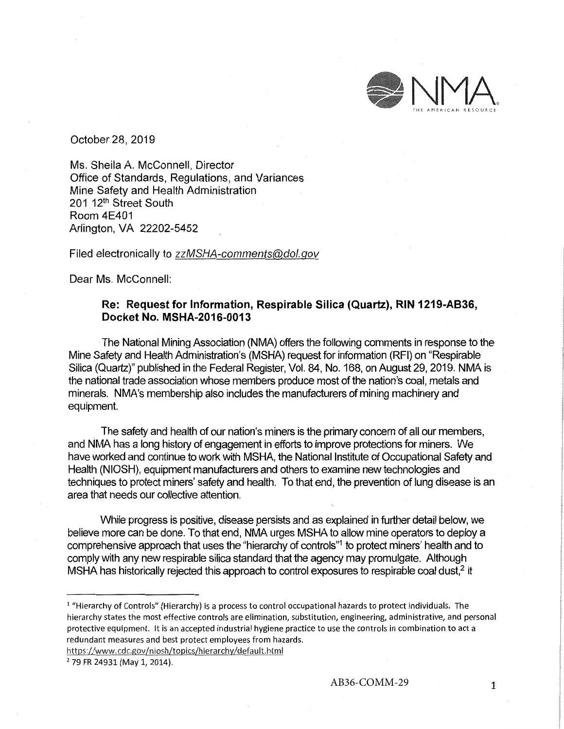

October 28, 2019

Ms. Sheila A. McConnell, Director Office of Standards, Regulations, and Variances Mine Safety and Health Administration 201 12<sup>th</sup> Street South Room 4E401 Arlington, VA 22202-5452

Filed electronically to zzMSHA-comments@dol.gov

Dear Ms. McConnell:

## **Re: Request for Information, Respirable Silica (Quartz), RIN 1219-A836, Docket No. MSHA-2016-0013**

The National Mining Association (NMA) offers the following comments in response to the Mine Safety and Health Administration's (MSHA) request for information (RFI) on "Respirable Silica (Quartz)" published in the Federal Register, Vol. 84, No. 168, on August 29, 2019. NMA is the national trade association whose members produce most of the nation's coal, metals and minerals. **NMA's** membership also includes the manufacturers of mining machinery and equipment.

The safety and health of our nation's miners is the primary concern of all our members, and NMA has a long history of engagement in efforts to improve protections for miners. We have worked and continue to work with MSHA, the National Institute of Occupational Safety and Health (NIOSH), equipment manufacturers and others to examine new technologies and techniques to protect miners' safety and health. To that end, the prevention of lung disease is an area that needs our collective attention.

While progress is positive, disease persists and as explained in further detail below, we believe more can be done. To that end, **NMA** urges MSHA to allow mine operators to deploy a comprehensive approach that uses the "hierarchy of controls"<sup>1</sup> to protect miners' health and to comply with any new respirable silica standard that the agency may promulgate. Although MSHA has historically rejected this approach to control exposures to respirable coal dust,<sup>2</sup> it

https://www.cdc.gov/niosh/topics/hierarchy/default.html

<sup>&</sup>lt;sup>1</sup> "Hierarchy of Controls" (Hierarchy) is a process to control occupational hazards to protect individuals. The hierarchy states the most effective controls are elimination, substitution, engineering, administrative, and personal protective equipment. It is an accepted industrial hygiene practice to use the controls in combination to act a redundant measures and best protect employees from hazards.

<sup>2 79</sup> FR 24931 (May 1, 2014).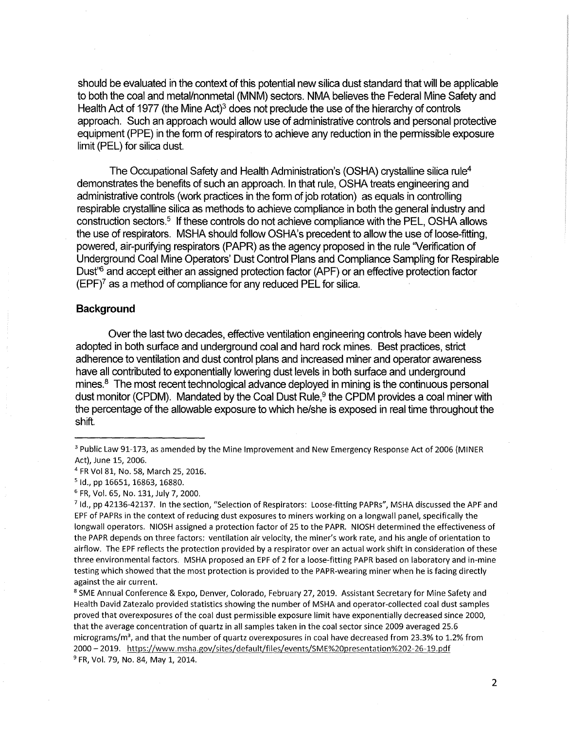should be evaluated in the context of this potential new silica dust standard that will be applicable to both the coal and metal/nonmetal (MNM) sectors. NMA believes the Federal Mine Safety and Health Act of 1977 (the Mine Act)<sup>3</sup> does not preclude the use of the hierarchy of controls approach. Such an approach would allow use of administrative controls and personal protective equipment (PPE) in the form of respirators to achieve any reduction in the permissible exposure limit (PEL) for silica dust.

The Occupational Safety and Health Administration's (OSHA) crystalline silica rule4 demonstrates the benefits of such an approach. In that rule, OSHA treats engineering and administrative controls (work practices in the form of job rotation) as equals in controlling respirable crystalline silica as methods to achieve compliance in both the general industry and construction sectors.5 If these controls do not achieve compliance with the PEL, OSHA allows the use of respirators. MSHA should follow OSHA's precedent to allow the use of loose-fitting, powered, air-purifying respirators (PAPR) as the agency proposed in the rule 'Verification of Underground Coal Mine Operators' Dust Control Plans and Compliance Sampling for Respirable Dust<sup>'6</sup> and accept either an assigned protection factor (APF) or an effective protection factor  $(EPF)^7$  as a method of compliance for any reduced PEL for silica.

### **Background**

Over the last two decades, effective ventilation engineering controls have been widely adopted in both surface and underground coal and hard rock mines. Best practices, strict adherence to ventilation and dust control plans and increased miner and operator awareness have all contributed to exponentially lowering dust levels in both surface and underground mines. $8$  The most recent technological advance deployed in mining is the continuous personal dust monitor (CPDM). Mandated by the Coal Dust Rule,<sup>9</sup> the CPDM provides a coal miner with the percentage of the allowable exposure to which he/she is exposed in real time throughout the shift.

<sup>8</sup> SME Annual Conference & Expo, Denver, Colorado, February 27, 2019. Assistant Secretary for Mine Safety and Health David Zatezalo provided statistics showing the number of MSHA and operator-collected coal dust samples proved that overexposures of the coal dust permissible exposure limit have exponentially decreased since 2000, that the average concentration of quartz in all samples taken in the coal sector since 2009 averaged 25.6 micrograms/m<sup>3</sup>, and that the number of quartz overexposures in coal have decreased from 23.3% to 1.2% from 2000- 2019. <https://www.msha.gov/sites/default/files/events/SME%20presentation%202-26-19.pdf> 9 FR, Vol. 79, No. 84, May 1, 2014.

<sup>&</sup>lt;sup>3</sup> Public Law 91-173, as amended by the Mine Improvement and New Emergency Response Act of 2006 (MINER Act), June 15, 2006.

<sup>&</sup>lt;sup>4</sup> FR Vol 81, No. 58, March 25, 2016.<br><sup>5</sup> Id., pp 16651, 16863, 16880.

<sup>6</sup> FR, Vol. 65, No. 131, July 7, 2000.

<sup>7</sup> Id., pp 42136-42137. In the section, "Selection of Respirators: Loose-fitting PAPRs", MSHA discussed the APF and EPF of PAPRs in the context of reducing dust exposures to miners working on a longwall panel, specifically the longwall operators. NIOSH assigned a protection factor of 25 to the PAPR. NIOSH determined the effectiveness of the PAPR depends on three factors: ventilation air velocity, the miner's work rate, and his angle of orientation to airflow. The EPF reflects the protection provided by a respirator over an actual work shift in consideration of these three environmental factors. MSHA proposed an EPF of 2 for a loose-fitting PAPR based on laboratory and in-mine testing which showed that the most protection is provided to the PAPR-wearing miner when he is facing directly against the air current.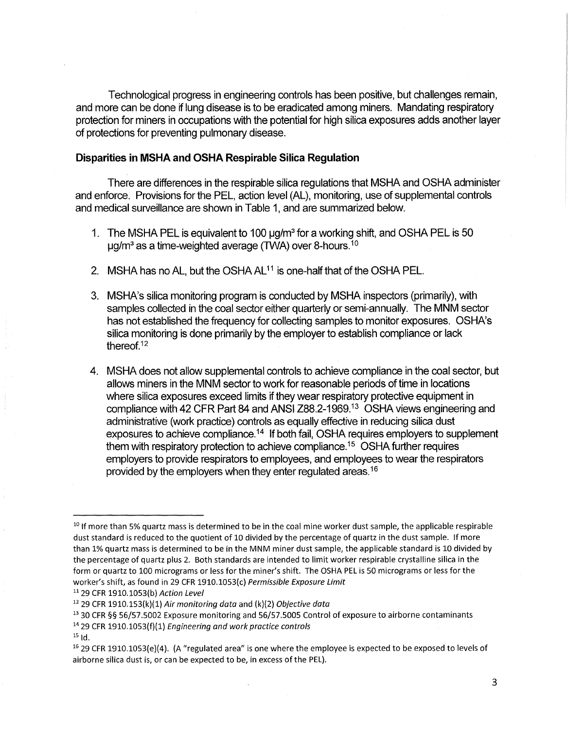Technological progress in engineering controls has been positive, but challenges remain, and more can be done if lung disease is to be eradicated among miners. Mandating respiratory protection for miners in occupations with the potential for high silica exposures adds another layer of protections for preventing pulmonary disease.

### **Disparities in MSHA and OSHA Respirable Silica Regulation**

There are differences in the respirable silica regulations that MSHA and OSHA administer and enforce. Provisions for the PEL, action level (AL), monitoring, use of supplemental controls and medical surveillance are shown in Table 1, and are summarized below.

- 1. The MSHA PEL is equivalent to 100 µg/m3 for a working shift, and OSHA PEL is 50  $\mu$ g/m<sup>3</sup> as a time-weighted average (TWA) over [8-hours.](https://8-hours.10)<sup>10</sup>
- 2. MSHA has no AL, but the OSHA AL<sup>11</sup> is one-half that of the OSHA PEL.
- 3. MSHA's silica monitoring program is conducted by MSHA inspectors (primarily), with samples collected in the coal sector either quarterly or semi-annually. The MNM sector has not established the frequency for collecting samples to monitor exposures. OSHA's silica monitoring is done primarily by the employer to establish compliance or lack [thereof.](https://thereof.12)<sup>12</sup>
- 4. MSHA does not allow supplemental controls to achieve compliance in the coal sector, but allows miners in the MNM sector to work for reasonable periods of time in locations where silica exposures exceed limits if they wear respiratory protective equipment in compliance with 42 CFR Part 84 and ANSI [288.2-1969.13](https://288.2-1969.13) OSHA views engineering and administrative (work practice) controls as equally effective in reducing silica dust exposures to achieve compliance.<sup>14</sup> If both fail, OSHA requires employers to supplement them with respiratory protection to achieve [compliance.](https://compliance.15)15 OSHA further requires employers to provide respirators to employees, and employees to wear the respirators provided by the employers when they enter regulated [areas.](https://areas.16)<sup>16</sup>

<sup>14</sup> 29 CFR 1910.1053(f)(1) Engineering and work practice controls

 $10$  If more than 5% quartz mass is determined to be in the coal mine worker dust sample, the applicable respirable dust standard is reduced to the quotient of 10 divided by the percentage of quartz in the dust sample. If more than 1% quartz mass is determined to be in the MNM miner dust sample, the applicable standard is 10 divided by the percentage of quartz plus 2. Both standards are intended to limit worker respirable crystalline silica in the form or quartz to 100 micrograms or less for the miner's shift. The OSHA PEL is 50 micrograms or less for the worker's shift, as found in 29 CFR 1910.1053(c) Permissible Exposure Limit

<sup>11 29</sup> CFR 1910.1053(b) Action Level

 $12$  29 CFR 1910.153(k)(1) Air monitoring data and (k)(2) Objective data

<sup>13 30</sup> CFR §§ 56/57.5002 Exposure monitoring and 56/57.5005 Control of exposure to airborne contaminants

 $15$  Id.

 $16$  29 CFR 1910.1053(e)(4). (A "regulated area" is one where the employee is expected to be exposed to levels of airborne silica dust is, or can be expected to be, in excess of the PEL).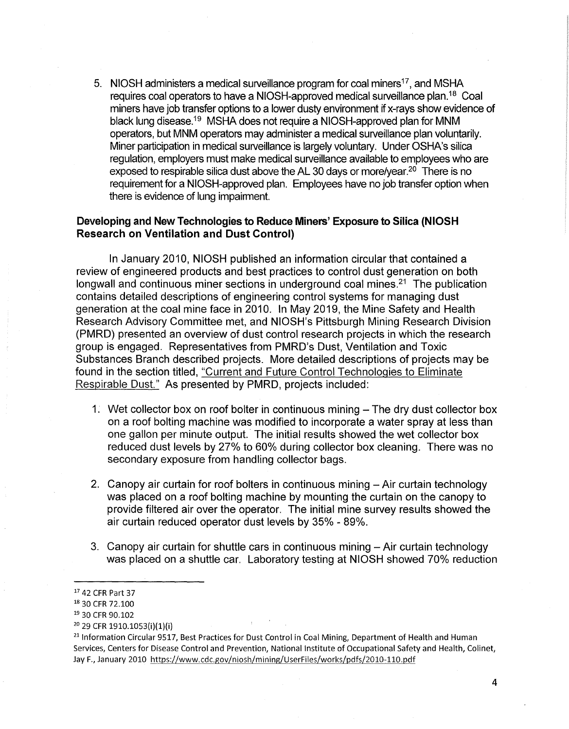5. NIOSH administers a medical surveillance program for coal miners<sup>17</sup>, and MSHA requires coal operators to have a NIOSH-approved medical surveillance plan.18 Coal miners have job transfer options to a lower dusty environment if x-rays show evidence of black lung [disease.](https://disease.19)19 MSHA does not require a NIOSH-approved plan for **MNM**  operators, but MNM operators may administer a medical surveillance plan voluntarily. Miner participation in medical surveillance is largely voluntary. Under OSHA's silica regulation, employers must make medical surveillance available to employees who are exposed to respirable silica dust above the AL 30 days or [more/year.](https://more/year.20)<sup>20</sup> There is no requirement for a NIOSH-approved plan. Employees have no job transfer option when there is evidence of lung impairment.

# **Developing and New Technologies to Reduce Miners' Exposure to Silica (NIOSH Research on Ventilation and Dust Control)**

In January 2010, NIOSH published an information circular that contained a review of engineered products and best practices to control dust generation on both longwall and continuous miner sections in underground coal mines.<sup>21</sup> The publication contains detailed descriptions of engineering control systems for managing dust generation at the coal mine face in 2010. In May 2019, the Mine Safety and Health Research Advisory Committee met, and NIOSH's Pittsburgh Mining Research Division (PMRD) presented an overview of dust control research projects in which the research group is engaged. Representatives from PMRD's Dust, Ventilation and Toxic Substances Branch described projects. More detailed descriptions of projects may be found in the section titled, "Current and Future Control Technologies to Eliminate Respirable Dust." As presented by PMRD, projects included:

- 1. Wet collector box on roof bolter in continuous mining The dry dust collector box on a roof bolting machine was modified to incorporate a water spray at less than one gallon per minute output. The initial results showed the wet collector box reduced dust levels by 27% to 60% during collector box cleaning. There was no secondary exposure from handling collector bags.
- 2. Canopy air curtain for roof bolters in continuous mining Air curtain technology was placed on a roof bolting machine by mounting the curtain on the canopy to provide filtered air over the operator. The initial mine survey results showed the air curtain reduced operator dust levels by 35% - 89%.
- 3. Canopy air curtain for shuttle cars in continuous mining Air curtain technology was placed on a shuttle car. Laboratory testing at NIOSH showed 70% reduction

<sup>17</sup>42 CFR Part 37

<sup>18</sup>30 CFR 72.100

<sup>&</sup>lt;sup>19</sup> 30 CFR 90.102

<sup>&</sup>lt;sup>20</sup> 29 CFR 1910.1053(i)(1)(i)

<sup>&</sup>lt;sup>21</sup> Information Circular 9517, Best Practices for Dust Control in Coal Mining, Department of Health and Human Services, Centers for Disease Control and Prevention, National Institute of Occupational Safety and Health, Colinet, Jay F., January 2010 <https://www.cdc.gov/niosh/mining/UserFiles/works/pdfs/2010-110.pdf>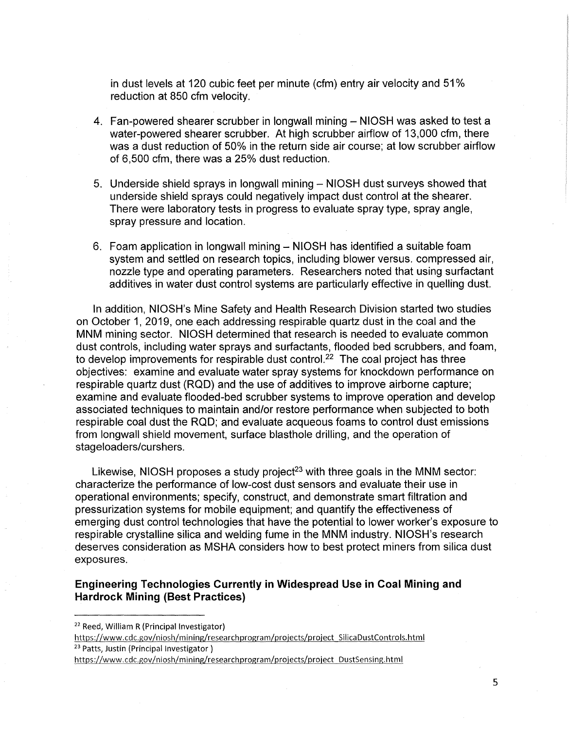in dust levels at 120 cubic feet per minute (cfm) entry air velocity and 51 % reduction at 850 cfm velocity.

- 4. Fan-powered shearer scrubber in longwall mining NIOSH was asked to test a water-powered shearer scrubber. At high scrubber airflow of 13,000 cfm, there was a dust reduction of 50% in the return side air course; at low scrubber airflow of 6,500 cfm, there was a 25% dust reduction.
- 5. Underside shield sprays in longwall mining NIOSH dust surveys showed that underside shield sprays could negatively impact dust control at the shearer. There were laboratory tests in progress to evaluate spray type, spray angle, spray pressure and location.
- 6. Foam application in longwall mining NIOSH has identified a suitable foam system and settled on research topics, including blower versus. compressed air, nozzle type and operating parameters. Researchers noted that using surfactant additives in water dust control systems are particularly effective in quelling dust.

In addition, NIOSH's Mine Safety and Health Research Division started two studies on October 1, 2019, one each addressing respirable quartz dust in the coal and the MNM mining sector. NIOSH determined that research is needed to evaluate common dust controls, including water sprays and surfactants, flooded bed scrubbers, and foam, to develop improvements for respirable dust control.<sup>22</sup> The coal project has three objectives: examine and evaluate water spray systems for knockdown performance on respirable quartz dust (ROD) and the use of additives to improve airborne capture; examine and evaluate flooded-bed scrubber systems to improve operation and develop associated techniques to maintain and/or restore performance when subjected to both respirable coal dust the ROD; and evaluate acqueous foams to control dust emissions from longwall shield movement, surface blasthole drilling, and the operation of stageloaders/curshers.

Likewise, NIOSH proposes a study project<sup>23</sup> with three goals in the MNM sector: characterize the performance of low-cost dust sensors and evaluate their use in operational environments; specify, construct, and demonstrate smart filtration and pressurization systems for mobile equipment; and quantify the effectiveness of emerging dust control technologies that have the potential to lower worker's exposure to respirable crystalline silica and welding fume in the MNM industry. NIOSH's research deserves consideration as MSHA considers how to best protect miners from silica dust exposures.

# **Engineering Technologies Currently in Widespread Use in Coal Mining and Hardrock Mining (Best Practices)**

https://www.cdc.gov/niosh/mining/researchprogram/projects/project\_SilicaDustControls.html<br><sup>23</sup> Patts, Justin (Principal Investigator)

<sup>22</sup> Reed, William R (Principal Investigator)

<https://www.cdc.gov/niosh>/mining/researchprogram/projects/project\_DustSensing.html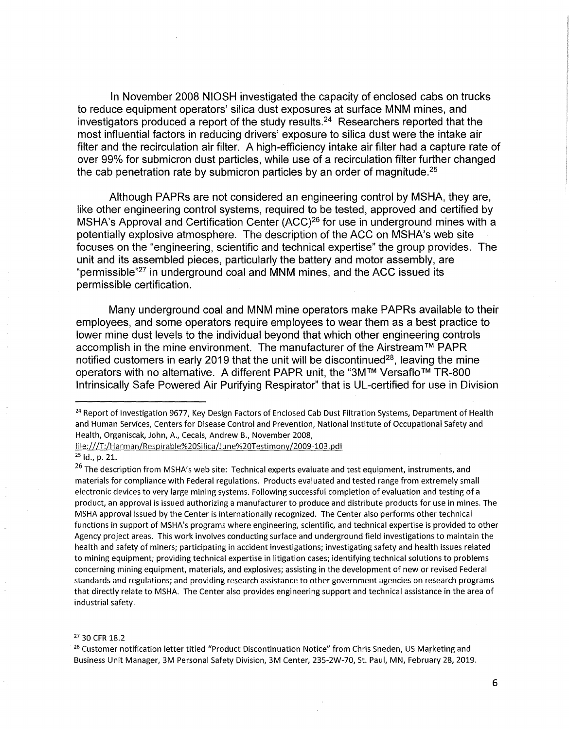In November 2008 NIOSH investigated the capacity of enclosed cabs on trucks to reduce equipment operators' silica dust exposures at surface **MNM** mines, and investigators produced a report of the study [results.](https://results.24)<sup>24</sup> Researchers reported that the most influential factors in reducing drivers' exposure to silica dust were the intake air filter and the recirculation air filter. A high-efficiency intake air filter had a capture rate of over 99% for submicron dust particles, while use of a recirculation filter further changed the cab penetration rate by submicron particles by an order of magnitude.<sup>25</sup>

Although PAPRs are not considered an engineering control by MSHA, they are, like other engineering control systems, required to be tested, approved and certified by MSHA's Approval and Certification Center (ACC)<sup>26</sup> for use in underground mines with a potentially explosive atmosphere. The description of the ACC on MSHA's web site focuses on the "engineering, scientific and technical expertise" the group provides. The unit and its assembled pieces, particularly the battery and motor assembly, are "permissible"27 in underground coal and MNM mines, and the ACC issued its permissible certification.

Many underground coal and MNM mine operators make PAPRs available to their employees, and some operators require employees to wear them as a best practice to lower mine dust levels to the individual beyond that which other engineering controls accomplish in the mine environment. The manufacturer of the Airstream ™ PAPR notified customers in early 2019 that the unit will be discontinued<sup>28</sup>, leaving the mine operators with no alternative. A different PAPR unit, the "3M™ Versaflo™ TR-800 Intrinsically Safe Powered Air Purifying Respirator" that is UL-certified for use in Division

<sup>27</sup> 30 CFR 18.2<br><sup>28</sup> Customer notification letter titled "Product Discontinuation Notice" from Chris Sneden, US Marketing and Business Unit Manager, 3M Personal Safety Division, 3M Center, 235-2W-70, St. Paul, MN, February 28, 2019.

<sup>&</sup>lt;sup>24</sup> Report of Investigation 9677, Key Design Factors of Enclosed Cab Dust Filtration Systems, Department of Health and Human Services, Centers for Disease Control and Prevention, National Institute of Occupational Safety and Health, Organiscak, John, A., Cecals, Andrew B., November 2008,

<file:///T:/Harman/Respirable%20Silica/June%20Testimony/2009-103.pdf>

<sup>&</sup>lt;sup>25</sup> Id., p. 21.

 $26$  The description from MSHA's web site: Technical experts evaluate and test equipment, instruments, and materials for compliance with Federal regulations. Products evaluated and tested range from extremely small electronic devices to very large mining systems. Following successful completion of evaluation and testing of a product, an approval is issued authorizing a manufacturer to produce and distribute products for use in mines. The MSHA approval issued by the Center is internationally recognized. The Center also performs other technical functions in support of MSHA's programs where engineering, scientific, and technical expertise is provided to other Agency project areas. This work involves conducting surface and underground field investigations to maintain the health and safety of miners; participating in accident investigations; investigating safety and health issues related to mining equipment; providing technical expertise in litigation cases; identifying technical solutions to problems concerning mining equipment, materials, and explosives; assisting in the development of new or revised Federal standards and regulations; and providing research assistance to other government agencies on research programs that directly relate to MSHA. The Center also provides engineering support and technical assistance in the area of industrial safety.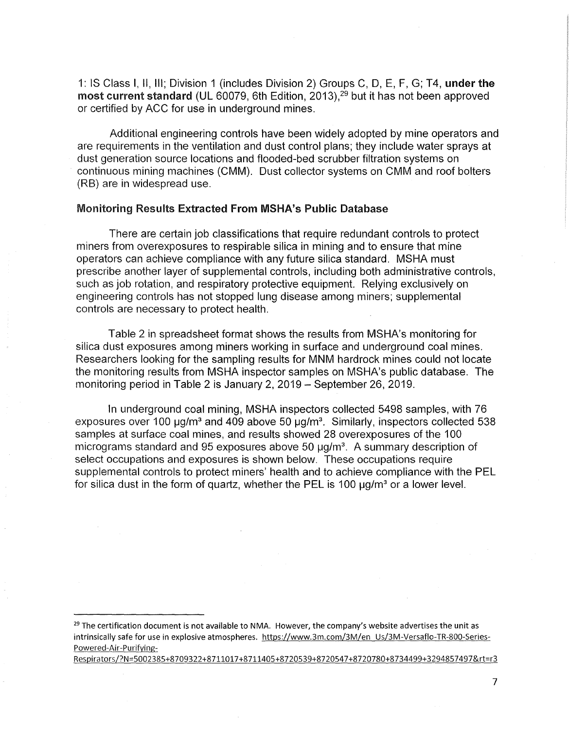1: IS Class I, II, Ill; Division 1 (includes Division 2) Groups C, D, E, F, G; T4, **under the**  most current standard (UL 60079, 6th Edition,  $2013$ ),  $29$  but it has not been approved or certified by ACC for use in underground mines.

Additional engineering controls have been widely adopted by mine operators and are requirements in the ventilation and dust control plans; they include water sprays at dust generation source locations and flooded-bed scrubber filtration systems on continuous mining machines (CMM). Dust collector systems on CMM and roof bolters (RB) are in widespread use.

#### Monitoring Results Extracted From MSHA's Public Database

There are certain job classifications that require redundant controls to protect miners from overexposures to respirable silica in mining and to ensure that mine operators can achieve compliance with any future silica standard. MSHA must prescribe another layer of supplemental controls, including both administrative controls, such as job rotation, and respiratory protective equipment. Relying exclusively on engineering controls has not stopped lung disease among miners; supplemental controls are necessary to protect health.

Table 2 in spreadsheet format shows the results from MSHA's monitoring for silica dust exposures among miners working in surface and underground coal mines. Researchers looking for the sampling results for MNM hardrock mines could not locate the monitoring results from MSHA inspector samples on MSHA's public database. The monitoring period in Table 2 is January 2, 2019 - September 26, 2019.

In underground coal mining, MSHA inspectors collected 5498 samples, with 76 exposures over 100  $\mu$ g/m<sup>3</sup> and 409 above 50  $\mu$ g/m<sup>3</sup>. Similarly, inspectors collected 538 samples at surface coal mines, and results showed 28 overexposures of the 100 micrograms standard and 95 exposures above 50  $\mu$ g/m<sup>3</sup>. A summary description of select occupations and exposures is shown below. These occupations require supplemental controls to protect miners' health and to achieve compliance with the PEL for silica dust in the form of quartz, whether the PEL is 100  $\mu$ g/m<sup>3</sup> or a lower level.

 $29$  The certification document is not available to NMA. However, the company's website advertises the unit as intrinsically safe for use in explosive atmospheres. <https://www.3m.com/3M/en>\_Us/3M-Versaflo-TR-800-Series-Powered-Air-Purifying-

Respirators/?N=5002385+8709322+8711017+8711405+8720539+8720547+8720780+8734499+3294857497&rt=r3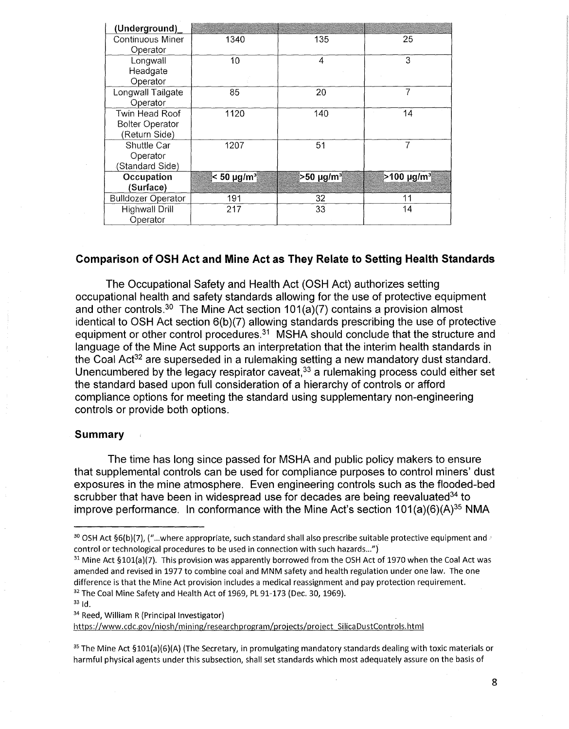| (Underground)             |                  |           |                         |
|---------------------------|------------------|-----------|-------------------------|
| Continuous Miner          | 1340             | 135       | 25                      |
| Operator                  |                  |           |                         |
| Longwall                  | 10               | 4         | 3                       |
| Headgate                  |                  |           |                         |
| Operator                  |                  |           |                         |
| Longwall Tailgate         | 85               | 20        |                         |
| Operator                  |                  |           |                         |
| Twin Head Roof            | 1120             | 140       | 14                      |
| <b>Bolter Operator</b>    |                  |           |                         |
| (Return Side)             |                  |           |                         |
| Shuttle Car               | 1207             | 51        | 7                       |
| Operator                  |                  |           |                         |
| (Standard Side)           |                  |           |                         |
| Occupation                | $< 50 \mu g/m^3$ | >50 μg/mª | $>$ 100 µg/m $^{\circ}$ |
| (Surface)                 |                  |           |                         |
| <b>Bulldozer Operator</b> | 191              | 32        | 11                      |
| <b>Highwall Drill</b>     | 217              | 33        | 14                      |
| Operator                  |                  |           |                         |

## **Comparison of OSH Act and Mine Act as They Relate to Setting Health Standards**

The Occupational Safety and Health Act (OSH Act) authorizes setting occupational health and safety standards allowing for the use of protective equipment and other [controls.](https://controls.30)<sup>30</sup> The Mine Act section  $101(a)(7)$  contains a provision almost identical to OSH Act section 6(b)(7) allowing standards prescribing the use of protective equipment or other control procedures.<sup>31</sup> MSHA should conclude that the structure and language of the Mine Act supports an interpretation that the interim health standards in the Coal Act<sup>32</sup> are superseded in a rulemaking setting a new mandatory dust standard. Unencumbered by the legacy respirator caveat,  $33$  a rulemaking process could either set the standard based upon full consideration of a hierarchy of controls or afford compliance options for meeting the standard using supplementary non-engineering controls or provide both options.

#### **Summary**

The time has long since passed for MSHA and public policy makers to ensure that supplemental controls can be used for compliance purposes to control miners' dust exposures in the mine atmosphere. Even engineering controls such as the flooded-bed scrubber that have been in widespread use for decades are being reevaluated<sup>34</sup> to improve performance. In conformance with the Mine Act's section 101(a)(6)(A)<sup>35</sup> NMA

<sup>31</sup> Mine Act §101(a)(7). This provision was apparently borrowed from the OSH Act of 1970 when the Coal Act was amended and revised in 1977 to combine coal and MNM safety and health regulation under one law. The one difference is that the Mine Act provision includes a medical reassignment and pay protection requirement. <sup>32</sup> The Coal Mine Safety and Health Act of 1969, PL 91-173 (Dec. 30, 1969).

<sup>34</sup> Reed, William R (Principal Investigator)

<https://www.cdc.gov/niosh/mi>ning/researchprogram/projects/project SilicaDustControls.html

<sup>35</sup> The Mine Act §101(a)(6)(A) (The Secretary, in promulgating mandatory standards dealing with toxic materials or harmful physical agents under this subsection, shall set standards which most adequately assure on the basis of

<sup>&</sup>lt;sup>30</sup> OSH Act §6(b)(7), ("...where appropriate, such standard shall also prescribe suitable protective equipment and  $\vee$ control or technological procedures to be used in connection with such hazards...")

 $33$ <sub>Id.</sub>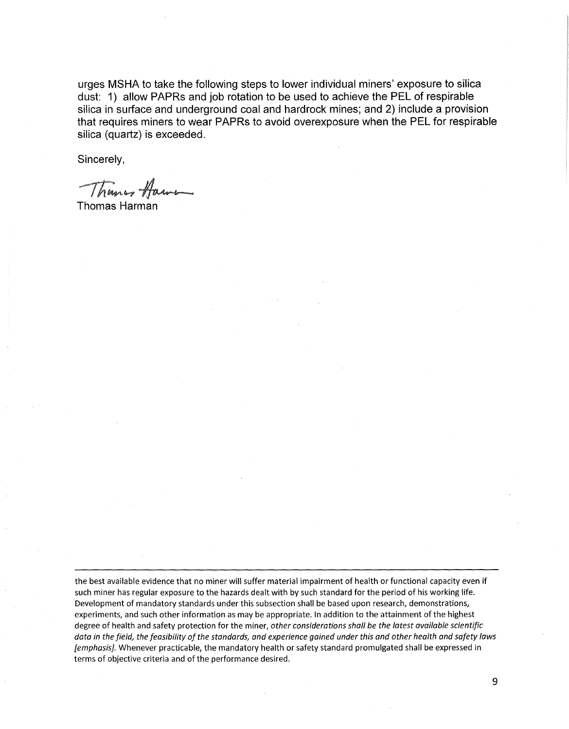**urges MSHA to take the following steps to lower individual miners' exposure to silica dust: 1) allow PAPRs and job rotation to be used to achieve the PEL of respirable silica in surface and underground coal and hardrock mines; and 2) include a provision that requires miners to wear PAPRs to avoid overexposure when the PEL for respirable silica (quartz) is exceeded.** 

**Sincerely,** 

Thunes Haw

**Thomas Harman** 

the best available evidence that no miner will suffer material impairment of health or functional capacity even if such miner has regular exposure to the hazards dealt with by such standard for the period of his working life. Development of mandatory standards under this subsection shall be based upon research, demonstrations, experiments, and such other information as may be appropriate. In addition to the attainment of the highest degree of health and safety protection for the miner, *other considerations shall be the latest available scientific data in the field, the feasibility of the standards, and experience gained under this and other health and safety laws [emphasis].* Whenever practicable, the mandatory health or safety standard promulgated shall be expressed in terms of objective criteria and of the performance desired.